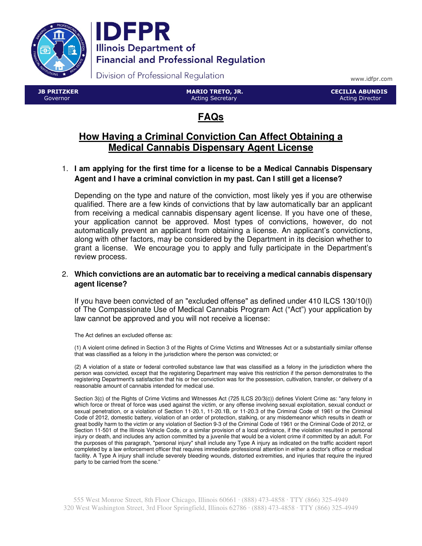



Division of Professional Regulation

www.idfpr.com

 JB PRITZKER Governor

 MARIO TRETO, JR. Acting Secretary

 CECILIA ABUNDIS Acting Director

# **FAQs**

## **How Having a Criminal Conviction Can Affect Obtaining a Medical Cannabis Dispensary Agent License**

## 1. **I am applying for the first time for a license to be a Medical Cannabis Dispensary Agent and I have a criminal conviction in my past. Can I still get a license?**

Depending on the type and nature of the conviction, most likely yes if you are otherwise qualified. There are a few kinds of convictions that by law automatically bar an applicant from receiving a medical cannabis dispensary agent license. If you have one of these, your application cannot be approved. Most types of convictions, however, do not automatically prevent an applicant from obtaining a license. An applicant's convictions, along with other factors, may be considered by the Department in its decision whether to grant a license. We encourage you to apply and fully participate in the Department's review process.

### 2. **Which convictions are an automatic bar to receiving a medical cannabis dispensary agent license?**

If you have been convicted of an "excluded offense" as defined under 410 ILCS 130/10(l) of The Compassionate Use of Medical Cannabis Program Act ("Act") your application by law cannot be approved and you will not receive a license:

The Act defines an excluded offense as:

(1) A violent crime defined in Section 3 of the Rights of Crime Victims and Witnesses Act or a substantially similar offense that was classified as a felony in the jurisdiction where the person was convicted; or

(2) A violation of a state or federal controlled substance law that was classified as a felony in the jurisdiction where the person was convicted, except that the registering Department may waive this restriction if the person demonstrates to the registering Department's satisfaction that his or her conviction was for the possession, cultivation, transfer, or delivery of a reasonable amount of cannabis intended for medical use.

Section 3(c) of the Rights of Crime Victims and Witnesses Act (725 ILCS 20/3(c)) defines Violent Crime as: "any felony in which force or threat of force was used against the victim, or any offense involving sexual exploitation, sexual conduct or sexual penetration, or a violation of Section 11-20.1, 11-20.1B, or 11-20.3 of the Criminal Code of 1961 or the Criminal Code of 2012, domestic battery, violation of an order of protection, stalking, or any misdemeanor which results in death or great bodily harm to the victim or any violation of Section 9-3 of the Criminal Code of 1961 or the Criminal Code of 2012, or Section 11-501 of the Illinois Vehicle Code, or a similar provision of a local ordinance, if the violation resulted in personal injury or death, and includes any action committed by a juvenile that would be a violent crime if committed by an adult. For the purposes of this paragraph, "personal injury" shall include any Type A injury as indicated on the traffic accident report completed by a law enforcement officer that requires immediate professional attention in either a doctor's office or medical facility. A Type A injury shall include severely bleeding wounds, distorted extremities, and injuries that require the injured party to be carried from the scene."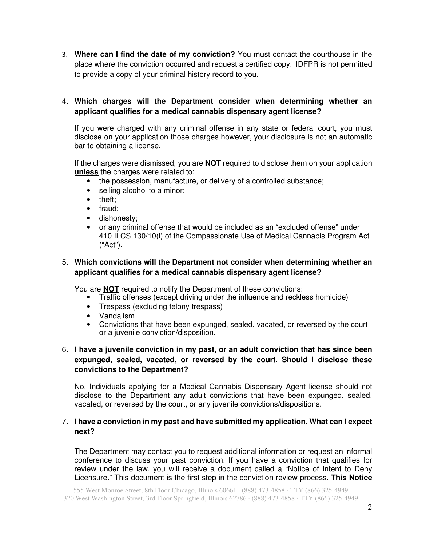3. **Where can I find the date of my conviction?** You must contact the courthouse in the place where the conviction occurred and request a certified copy. IDFPR is not permitted to provide a copy of your criminal history record to you.

## 4. **Which charges will the Department consider when determining whether an applicant qualifies for a medical cannabis dispensary agent license?**

If you were charged with any criminal offense in any state or federal court, you must disclose on your application those charges however, your disclosure is not an automatic bar to obtaining a license.

If the charges were dismissed, you are **NOT** required to disclose them on your application **unless** the charges were related to:

- the possession, manufacture, or delivery of a controlled substance;
- selling alcohol to a minor;
- theft:
- fraud;
- dishonesty;
- or any criminal offense that would be included as an "excluded offense" under 410 ILCS 130/10(l) of the Compassionate Use of Medical Cannabis Program Act ("Act").

## 5. **Which convictions will the Department not consider when determining whether an applicant qualifies for a medical cannabis dispensary agent license?**

You are **NOT** required to notify the Department of these convictions:

- Traffic offenses (except driving under the influence and reckless homicide)
- Trespass (excluding felony trespass)
- Vandalism
- Convictions that have been expunged, sealed, vacated, or reversed by the court or a juvenile conviction/disposition.

## 6. **I have a juvenile conviction in my past, or an adult conviction that has since been expunged, sealed, vacated, or reversed by the court. Should I disclose these convictions to the Department?**

No. Individuals applying for a Medical Cannabis Dispensary Agent license should not disclose to the Department any adult convictions that have been expunged, sealed, vacated, or reversed by the court, or any juvenile convictions/dispositions.

## 7. **I have a conviction in my past and have submitted my application. What can I expect next?**

The Department may contact you to request additional information or request an informal conference to discuss your past conviction. If you have a conviction that qualifies for review under the law, you will receive a document called a "Notice of Intent to Deny Licensure." This document is the first step in the conviction review process. **This Notice**